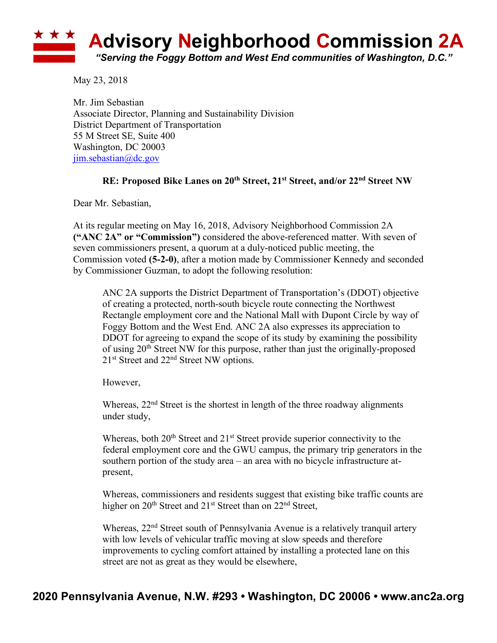## **Advisory Neighborhood Commission 2A** *"Serving the Foggy Bottom and West End communities of Washington, D.C."*

May 23, 2018

Mr. Jim Sebastian Associate Director, Planning and Sustainability Division District Department of Transportation 55 M Street SE, Suite 400 Washington, DC 20003 jim.sebastian@dc.gov

## **RE: Proposed Bike Lanes on 20th Street, 21st Street, and/or 22nd Street NW**

Dear Mr. Sebastian,

At its regular meeting on May 16, 2018, Advisory Neighborhood Commission 2A **("ANC 2A" or "Commission")** considered the above-referenced matter. With seven of seven commissioners present, a quorum at a duly-noticed public meeting, the Commission voted **(5-2-0)**, after a motion made by Commissioner Kennedy and seconded by Commissioner Guzman, to adopt the following resolution:

ANC 2A supports the District Department of Transportation's (DDOT) objective of creating a protected, north-south bicycle route connecting the Northwest Rectangle employment core and the National Mall with Dupont Circle by way of Foggy Bottom and the West End. ANC 2A also expresses its appreciation to DDOT for agreeing to expand the scope of its study by examining the possibility of using 20th Street NW for this purpose, rather than just the originally-proposed 21st Street and 22nd Street NW options.

However,

Whereas,  $22<sup>nd</sup>$  Street is the shortest in length of the three roadway alignments under study,

Whereas, both  $20<sup>th</sup>$  Street and  $21<sup>st</sup>$  Street provide superior connectivity to the federal employment core and the GWU campus, the primary trip generators in the southern portion of the study area – an area with no bicycle infrastructure atpresent,

Whereas, commissioners and residents suggest that existing bike traffic counts are higher on 20<sup>th</sup> Street and 21<sup>st</sup> Street than on 22<sup>nd</sup> Street,

Whereas, 22<sup>nd</sup> Street south of Pennsylvania Avenue is a relatively tranquil artery with low levels of vehicular traffic moving at slow speeds and therefore improvements to cycling comfort attained by installing a protected lane on this street are not as great as they would be elsewhere,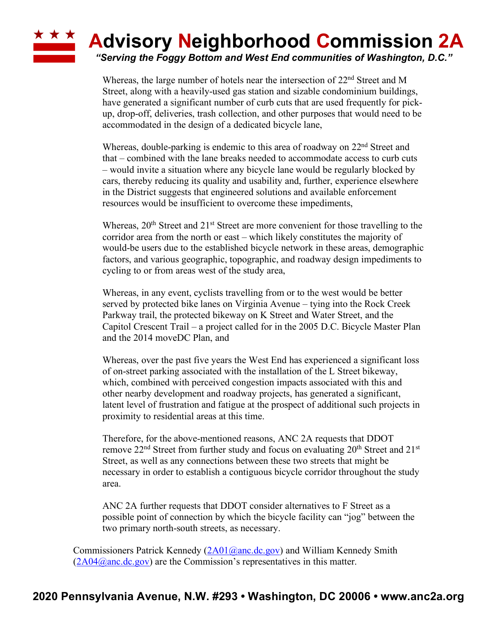## \* \* \* **Advisory Neighborhood Commission 2A**

*"Serving the Foggy Bottom and West End communities of Washington, D.C."*

Whereas, the large number of hotels near the intersection of 22<sup>nd</sup> Street and M Street, along with a heavily-used gas station and sizable condominium buildings, have generated a significant number of curb cuts that are used frequently for pickup, drop-off, deliveries, trash collection, and other purposes that would need to be accommodated in the design of a dedicated bicycle lane,

Whereas, double-parking is endemic to this area of roadway on 22<sup>nd</sup> Street and that – combined with the lane breaks needed to accommodate access to curb cuts – would invite a situation where any bicycle lane would be regularly blocked by cars, thereby reducing its quality and usability and, further, experience elsewhere in the District suggests that engineered solutions and available enforcement resources would be insufficient to overcome these impediments,

Whereas,  $20<sup>th</sup>$  Street and  $21<sup>st</sup>$  Street are more convenient for those travelling to the corridor area from the north or east – which likely constitutes the majority of would-be users due to the established bicycle network in these areas, demographic factors, and various geographic, topographic, and roadway design impediments to cycling to or from areas west of the study area,

Whereas, in any event, cyclists travelling from or to the west would be better served by protected bike lanes on Virginia Avenue – tying into the Rock Creek Parkway trail, the protected bikeway on K Street and Water Street, and the Capitol Crescent Trail – a project called for in the 2005 D.C. Bicycle Master Plan and the 2014 moveDC Plan, and

Whereas, over the past five years the West End has experienced a significant loss of on-street parking associated with the installation of the L Street bikeway, which, combined with perceived congestion impacts associated with this and other nearby development and roadway projects, has generated a significant, latent level of frustration and fatigue at the prospect of additional such projects in proximity to residential areas at this time.

Therefore, for the above-mentioned reasons, ANC 2A requests that DDOT remove  $22<sup>nd</sup>$  Street from further study and focus on evaluating  $20<sup>th</sup>$  Street and  $21<sup>st</sup>$ Street, as well as any connections between these two streets that might be necessary in order to establish a contiguous bicycle corridor throughout the study area.

ANC 2A further requests that DDOT consider alternatives to F Street as a possible point of connection by which the bicycle facility can "jog" between the two primary north-south streets, as necessary.

Commissioners Patrick Kennedy  $(2A01@anc \, dc.gov)$  and William Kennedy Smith  $(2A04@anc.de.gov)$  are the Commission's representatives in this matter.